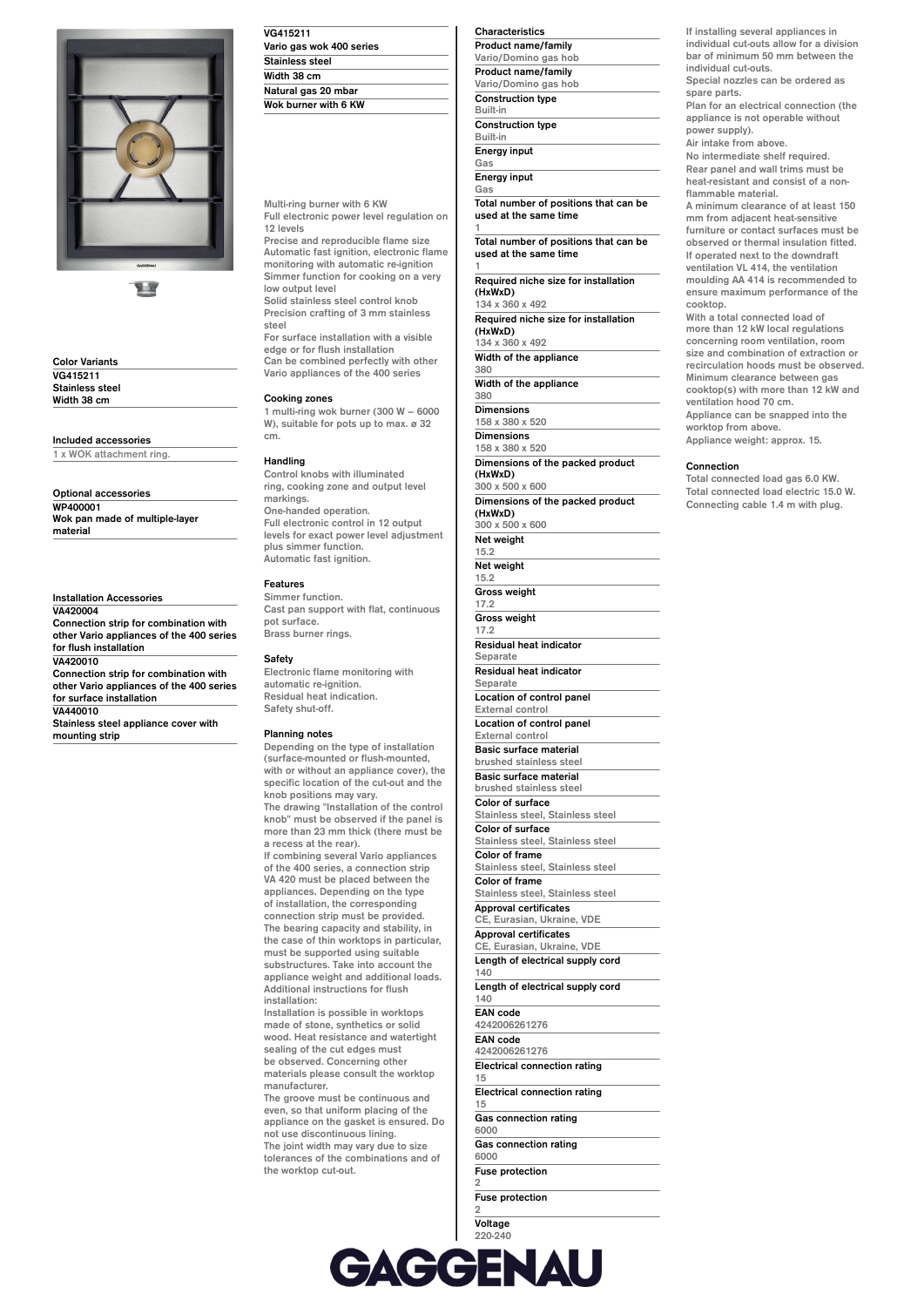

11

**Color Variants VG415211 Stainless steel Width 38 cm**

**Included accessories**

**1 x WOK attachment ring.**

**Optional accessories WP400001 Wok pan made of multiple-layer material**

**Installation Accessories VA420004 Connection strip for combination with other Vario appliances of the 400 series for flush installation VA420010 Connection strip for combination with other Vario appliances of the 400 series for surface installation VA440010**

**Stainless steel appliance cover with mounting strip**

| VG415211                 |  |
|--------------------------|--|
| Vario gas wok 400 series |  |
| Stainless steel          |  |
| Width 38 cm              |  |
| Natural gas 20 mbar      |  |
| Wok burner with 6 KW     |  |

**Multi-ring burner with 6 KW Full electronic power level regulation on**

**12 levels Precise and reproducible flame size Automatic fast ignition, electronic flame monitoring with automatic re-ignition Simmer function for cooking on a very low output level**

**Solid stainless steel control knob Precision crafting of 3 mm stainless steel**

**For surface installation with a visible edge or for flush installation Can be combined perfectly with other**

**Vario appliances of the 400 series**

# **Cooking zones**

**1 multi-ring wok burner (300 W – 6000 W), suitable for pots up to max. ø 32 cm.**

## **Handling**

**Control knobs with illuminated ring, cooking zone and output level markings. One-handed operation. Full electronic control in 12 output levels for exact power level adjustment plus simmer function. Automatic fast ignition.**

## **Features**

**Simmer function. Cast pan support with flat, continuous pot surface. Brass burner rings.**

## **Safety**

**Electronic flame monitoring with automatic re-ignition. Residual heat indication. Safety shut-off.**

### **Planning notes**

**Depending on the type of installation (surface-mounted or flush-mounted, with or without an appliance cover), the specific location of the cut-out and the knob positions may vary. The drawing "Installation of the control knob" must be observed if the panel is more than 23 mm thick (there must be a recess at the rear). If combining several Vario appliances of the 400 series, a connection strip VA 420 must be placed between the appliances. Depending on the type of installation, the corresponding connection strip must be provided. The bearing capacity and stability, in the case of thin worktops in particular, must be supported using suitable substructures. Take into account the appliance weight and additional loads. Additional instructions for flush installation: Installation is possible in worktops**

**made of stone, synthetics or solid wood. Heat resistance and watertight sealing of the cut edges must be observed. Concerning other materials please consult the worktop manufacturer.**

**The groove must be continuous and even, so that uniform placing of the appliance on the gasket is ensured. Do not use discontinuous lining. The joint width may vary due to size tolerances of the combinations and of the worktop cut-out.**

| Characteristics            |
|----------------------------|
| <b>Product name/family</b> |
| Vario/Domino gas hob       |
| <b>Product name/family</b> |
| Vario/Domino gas hob       |
| <b>Construction type</b>   |
| <b>Built-in</b>            |
| <b>Construction type</b>   |
| <b>Built-in</b>            |
| <b>Energy input</b>        |
| Gas                        |
|                            |

**Energy input Gas**

**Total number of positions that can be used at the same time 1**

**Total number of positions that can be used at the same time 1**

**Required niche size for installation (HxWxD) 134 x 360 x 492**

**Required niche size for installation (HxWxD)**

**134 x 360 x 492 Width of the appliance 380**

**Width of the appliance**

**380 Dimensions**

**Net weight**

**158 x 380 x 520 Dimensions 158 x 380 x 520 Dimensions of the packed product (HxWxD) 300 x 500 x 600**

**Dimensions of the packed product (HxWxD) 300 x 500 x 600**

**15.2 Net weight 15.2 Gross weight 17.2 Gross weight 17.2 Residual heat indicator Separate Residual heat indicator Separate Location of control panel External control Location of control panel External control Basic surface material brushed stainless steel Basic surface material brushed stainless steel Color of surface Stainless steel, Stainless steel Color of surface Stainless steel, Stainless steel Color of frame Stainless steel, Stainless steel Color of frame Stainless steel, Stainless steel Approval certificates CE, Eurasian, Ukraine, VDE Approval certificates CE, Eurasian, Ukraine, VDE Length of electrical supply cord 140 Length of electrical supply cord 140 EAN code 4242006261276 EAN code 4242006261276 Electrical connection rating 15 Electrical connection rating 15 Gas connection rating 6000 Gas connection rating 6000 Fuse protection**

**2 Fuse protection 2**

**Voltage 220-240**

**Voltage 220-240 Frequency 50; 60**

**If installing several appliances in individual cut-outs allow for a division bar of minimum 50 mm between the individual cut-outs.**

**Special nozzles can be ordered as spare parts. Plan for an electrical connection (the**

**appliance is not operable without power supply).**

**Air intake from above.**

**No intermediate shelf required. Rear panel and wall trims must be heat-resistant and consist of a nonflammable material.**

**A minimum clearance of at least 150 mm from adjacent heat-sensitive furniture or contact surfaces must be observed or thermal insulation fitted. If operated next to the downdraft ventilation VL 414, the ventilation moulding AA 414 is recommended to ensure maximum performance of the cooktop.**

**With a total connected load of more than 12 kW local regulations concerning room ventilation, room size and combination of extraction or recirculation hoods must be observed. Minimum clearance between gas cooktop(s) with more than 12 kW and ventilation hood 70 cm. Appliance can be snapped into the worktop from above.**

**Appliance weight: approx. 15.**

## **Connection**

**Total connected load gas 6.0 KW. Total connected load electric 15.0 W. Connecting cable 1.4 m with plug.**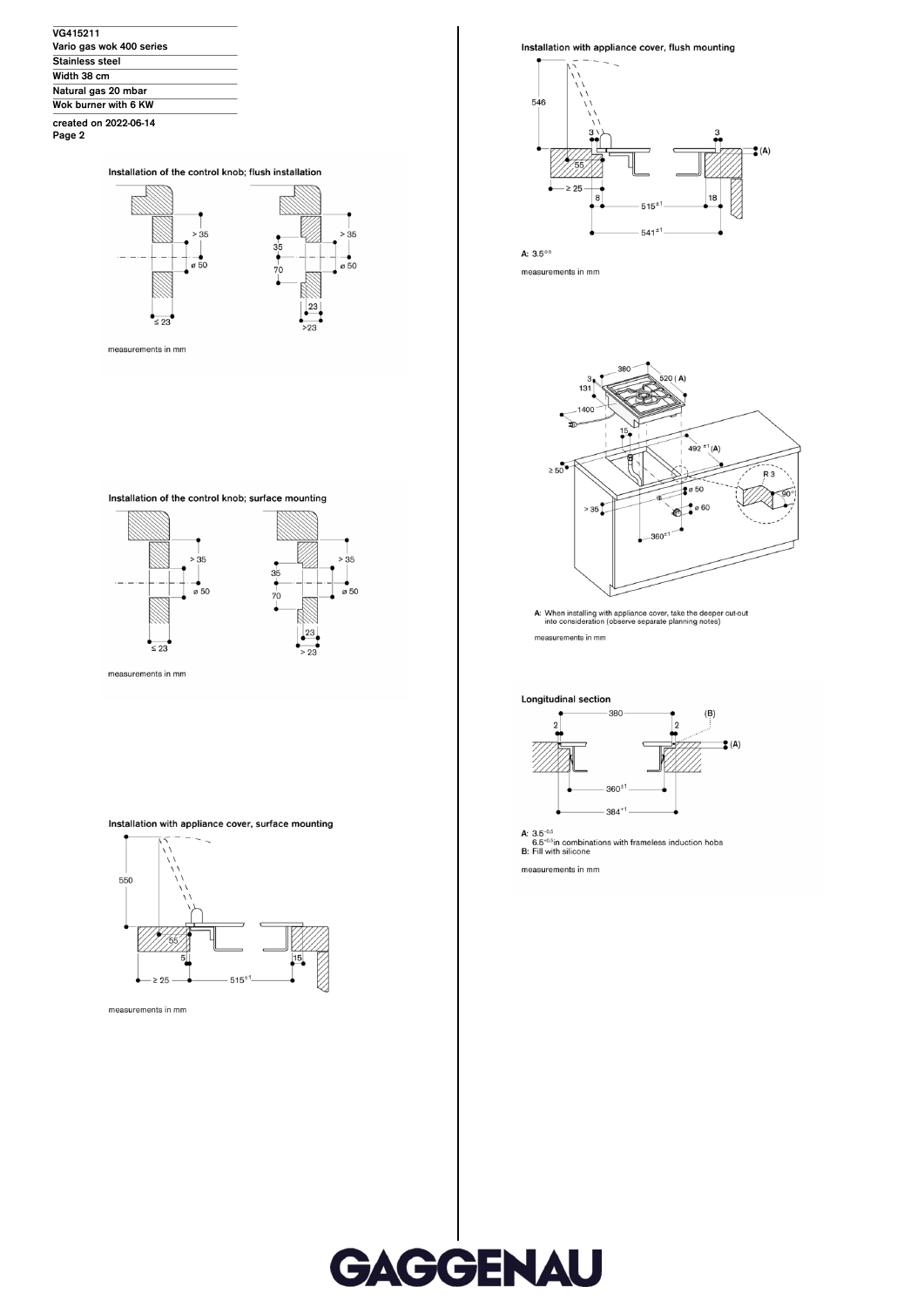| VG415211                 |  |
|--------------------------|--|
| Vario gas wok 400 series |  |
| Stainless steel          |  |
| Width 38 cm              |  |
| Natural gas 20 mbar      |  |
| Wok burner with 6 KW     |  |
|                          |  |

created on 2022-06-14<br>Page 2

Installation of the control knob; flush installation



Installation of the control knob; surface mounting



measurements in mm

# Installation with appliance cover, surface mounting





Installation with appliance cover, flush mounting



A:  $3.5^{0.5}$ 

measurements in mm



A: When installing with appliance cover, take the deeper cut-out into consideration (observe separate planning notes) measurements in mm

Longitudinal section



A:  $3.5^{\text{-}0.5}$ <br>6.5<sup>-0.5</sup>in combinations with frameless induction hobs<br>B: Fill with silicone

measurements in mm